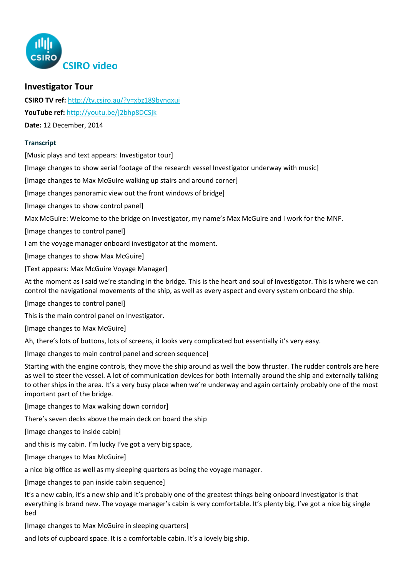

## **Investigator Tour**

**CSIRO TV ref:** <http://tv.csiro.au/?v=xbz189bynqxui> **YouTube ref:** <http://youtu.be/j2bhp8DCSjk> **Date:** 12 December, 2014

## **Transcript**

[Music plays and text appears: Investigator tour]

[Image changes to show aerial footage of the research vessel Investigator underway with music]

[Image changes to Max McGuire walking up stairs and around corner]

[Image changes panoramic view out the front windows of bridge]

[Image changes to show control panel]

Max McGuire: Welcome to the bridge on Investigator, my name's Max McGuire and I work for the MNF.

[Image changes to control panel]

I am the voyage manager onboard investigator at the moment.

[Image changes to show Max McGuire]

[Text appears: Max McGuire Voyage Manager]

At the moment as I said we're standing in the bridge. This is the heart and soul of Investigator. This is where we can control the navigational movements of the ship, as well as every aspect and every system onboard the ship.

[Image changes to control panel]

This is the main control panel on Investigator.

[Image changes to Max McGuire]

Ah, there's lots of buttons, lots of screens, it looks very complicated but essentially it's very easy.

[Image changes to main control panel and screen sequence]

Starting with the engine controls, they move the ship around as well the bow thruster. The rudder controls are here as well to steer the vessel. A lot of communication devices for both internally around the ship and externally talking to other ships in the area. It's a very busy place when we're underway and again certainly probably one of the most important part of the bridge.

[Image changes to Max walking down corridor]

There's seven decks above the main deck on board the ship

[Image changes to inside cabin]

and this is my cabin. I'm lucky I've got a very big space,

[Image changes to Max McGuire]

a nice big office as well as my sleeping quarters as being the voyage manager.

[Image changes to pan inside cabin sequence]

It's a new cabin, it's a new ship and it's probably one of the greatest things being onboard Investigator is that everything is brand new. The voyage manager's cabin is very comfortable. It's plenty big, I've got a nice big single bed

[Image changes to Max McGuire in sleeping quarters]

and lots of cupboard space. It is a comfortable cabin. It's a lovely big ship.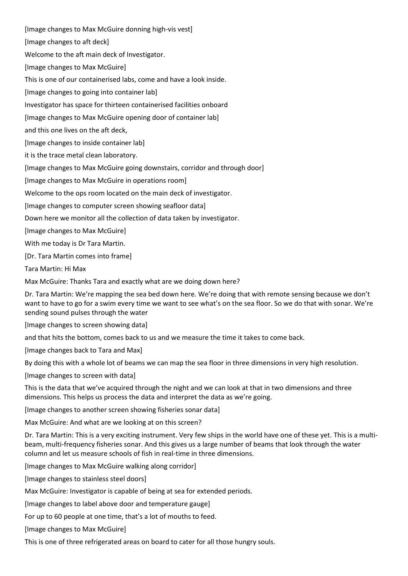[Image changes to Max McGuire donning high-vis vest] [Image changes to aft deck] Welcome to the aft main deck of Investigator. [Image changes to Max McGuire] This is one of our containerised labs, come and have a look inside. [Image changes to going into container lab] Investigator has space for thirteen containerised facilities onboard [Image changes to Max McGuire opening door of container lab] and this one lives on the aft deck, [Image changes to inside container lab] it is the trace metal clean laboratory. [Image changes to Max McGuire going downstairs, corridor and through door] [Image changes to Max McGuire in operations room] Welcome to the ops room located on the main deck of investigator. [Image changes to computer screen showing seafloor data] Down here we monitor all the collection of data taken by investigator. [Image changes to Max McGuire] With me today is Dr Tara Martin. [Dr. Tara Martin comes into frame]

Tara Martin: Hi Max

Max McGuire: Thanks Tara and exactly what are we doing down here?

Dr. Tara Martin: We're mapping the sea bed down here. We're doing that with remote sensing because we don't want to have to go for a swim every time we want to see what's on the sea floor. So we do that with sonar. We're sending sound pulses through the water

[Image changes to screen showing data]

and that hits the bottom, comes back to us and we measure the time it takes to come back.

[Image changes back to Tara and Max]

By doing this with a whole lot of beams we can map the sea floor in three dimensions in very high resolution.

[Image changes to screen with data]

This is the data that we've acquired through the night and we can look at that in two dimensions and three dimensions. This helps us process the data and interpret the data as we're going.

[Image changes to another screen showing fisheries sonar data]

Max McGuire: And what are we looking at on this screen?

Dr. Tara Martin: This is a very exciting instrument. Very few ships in the world have one of these yet. This is a multibeam, multi-frequency fisheries sonar. And this gives us a large number of beams that look through the water column and let us measure schools of fish in real-time in three dimensions.

[Image changes to Max McGuire walking along corridor]

[Image changes to stainless steel doors]

Max McGuire: Investigator is capable of being at sea for extended periods.

[Image changes to label above door and temperature gauge]

For up to 60 people at one time, that's a lot of mouths to feed.

[Image changes to Max McGuire]

This is one of three refrigerated areas on board to cater for all those hungry souls.